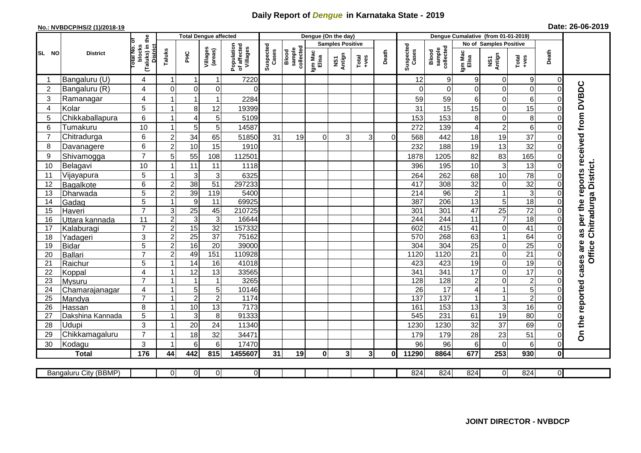## **Daily Report of** *Dengue* **in Karnataka State - 2019**

## **No.: NVBDCP/HS/2 (1)/2018-19 Date: 26-06-2019**

|                | <b>District</b>       |                                                      | <b>Total Dengue affected</b> |                  |                     |                                       |                    |                              |                         | Dengue (On the day) |                  |          |                    |                              |                  |                               |                  |                |                                        |
|----------------|-----------------------|------------------------------------------------------|------------------------------|------------------|---------------------|---------------------------------------|--------------------|------------------------------|-------------------------|---------------------|------------------|----------|--------------------|------------------------------|------------------|-------------------------------|------------------|----------------|----------------------------------------|
| SL NO          |                       |                                                      |                              |                  |                     |                                       |                    |                              | <b>Samples Positive</b> |                     |                  |          |                    |                              |                  | <b>No of Samples Positive</b> |                  |                |                                        |
|                |                       | (Taluks) in the<br>District<br>otal No. ol<br>blocks | Taluks                       | ΞÉ               | Villages<br>(areas) | Population<br>of affected<br>Villages | Suspected<br>Cases | sample<br>collected<br>Blood | Igm Mac<br>Elisa        | NS1<br>Antign       | $Tota$<br>$+ves$ | Death    | Suspected<br>Cases | collected<br>sample<br>Blood | Igm Mac<br>Elisa | NS1<br>Antign                 | $Tota$<br>$+ves$ | Death          |                                        |
|                | Bangaluru (U)         | 4                                                    | $\overline{1}$               | -1               | $\mathbf{1}$        | 7220                                  |                    |                              |                         |                     |                  |          | 12                 | $\boldsymbol{9}$             | 9                | $\mathbf 0$                   | $9\,$            | $\mathbf 0$    |                                        |
| $\overline{2}$ | Bangaluru (R)         | 4                                                    | $\Omega$                     | $\mathbf 0$      | 0                   | $\Omega$                              |                    |                              |                         |                     |                  |          | $\Omega$           | $\Omega$                     | $\Omega$         | 0                             | $\overline{0}$   | $\mathbf 0$    |                                        |
| 3              | Ramanagar             | 4                                                    |                              | $\mathbf 1$      | $\mathbf{1}$        | 2284                                  |                    |                              |                         |                     |                  |          | 59                 | 59                           | 6                | 0                             | 6                | $\Omega$       | as per the reports received from DVBDC |
| 4              | Kolar                 | 5                                                    | 1                            | 8                | 12                  | 19399                                 |                    |                              |                         |                     |                  |          | 31                 | 15                           | 15               | 0                             | 15               | 0              |                                        |
| 5              | Chikkaballapura       | 6                                                    | $\mathbf{1}$                 | $\overline{4}$   | 5                   | 5109                                  |                    |                              |                         |                     |                  |          | 153                | 153                          | 8                | 0                             | 8                | $\mathbf 0$    |                                        |
| 6              | Tumakuru              | 10                                                   | -1                           | 5                | 5                   | 14587                                 |                    |                              |                         |                     |                  |          | 272                | 139                          | 4                | $\overline{\mathbf{c}}$       | 6                | 0              |                                        |
| 7              | Chitradurga           | 6                                                    | $\overline{2}$               | 34               | 65                  | 51850                                 | 31                 | 19                           | $\Omega$                | 3                   | 3                | $\Omega$ | 568                | 442                          | 18               | 19                            | 37               | $\mathbf 0$    |                                        |
| 8              | Davanagere            | 6                                                    | $\overline{2}$               | 10               | 15                  | 1910                                  |                    |                              |                         |                     |                  |          | 232                | 188                          | 19               | 13                            | 32               | $\mathbf 0$    |                                        |
| 9              | Shivamogga            | $\overline{7}$                                       | 5                            | 55               | 108                 | 112501                                |                    |                              |                         |                     |                  |          | 1878               | 1205                         | 82               | 83                            | 165              | $\mathbf 0$    |                                        |
| 10             | Belagavi              | 10                                                   |                              | 11               | 11                  | 1118                                  |                    |                              |                         |                     |                  |          | 396                | 195                          | 10               | $\mathsf 3$                   | 13               | $\Omega$       | Chitradurga District.                  |
| 11             | Vijayapura            | 5                                                    |                              | 3                | $\sqrt{3}$          | 6325                                  |                    |                              |                         |                     |                  |          | 264                | 262                          | 68               | 10                            | 78               | $\mathbf 0$    |                                        |
| 12             | Bagalkote             | 6                                                    | $\overline{c}$               | 38               | $\overline{51}$     | 297233                                |                    |                              |                         |                     |                  |          | 417                | 308                          | 32               | $\mathbf 0$                   | 32               | $\Omega$       |                                        |
| 13             | Dharwada              | 5                                                    | $\overline{c}$               | 39               | 119                 | 5400                                  |                    |                              |                         |                     |                  |          | 214                | 96                           | $\sqrt{2}$       | $\mathbf{1}$                  | ω                | $\mathbf 0$    |                                        |
| 14             | Gadag                 | 5                                                    | $\mathbf{1}$                 | $\boldsymbol{9}$ | 11                  | 69925                                 |                    |                              |                         |                     |                  |          | 387                | 206                          | $\overline{13}$  | 5                             | 18               | $\mathbf 0$    |                                        |
| 15             | Haveri                | $\overline{7}$                                       | $\ensuremath{\mathsf{3}}$    | $\overline{25}$  | 45                  | 210725                                |                    |                              |                         |                     |                  |          | 301                | 301                          | 47               | $\overline{25}$               | $\overline{72}$  | $\mathbf 0$    |                                        |
| 16             | Uttara kannada        | 11                                                   | $\overline{c}$               | $\sqrt{3}$       | $\mathbf{3}$        | 16644                                 |                    |                              |                         |                     |                  |          | 244                | 244                          | 11               | $\overline{7}$                | $\overline{18}$  | $\mathbf 0$    |                                        |
| 17             | Kalaburagi            | $\overline{7}$                                       | $\overline{2}$               | 15               | 32                  | 157332                                |                    |                              |                         |                     |                  |          | 602                | 415                          | 41               | 0                             | 41               | $\Omega$       |                                        |
| 18             | Yadageri              | 3                                                    | $\overline{c}$               | 25               | 37                  | 75162                                 |                    |                              |                         |                     |                  |          | 570                | 268                          | 63               | $\mathbf{1}$                  | 64               | $\Omega$       |                                        |
| 19             | <b>Bidar</b>          | $\overline{5}$                                       | $\overline{2}$               | 16               | $\overline{20}$     | 39000                                 |                    |                              |                         |                     |                  |          | $\overline{304}$   | 304                          | $\overline{25}$  | 0                             | $\overline{25}$  | $\Omega$       |                                        |
| 20             | Ballari               | $\overline{7}$                                       | $\overline{2}$               | 49               | 151                 | 110928                                |                    |                              |                         |                     |                  |          | 1120               | 1120                         | $\overline{21}$  | 0                             | $\overline{21}$  | $\mathbf 0$    | <b>Office</b>                          |
| 21             | Raichur               | 5                                                    | $\overline{ }$               | $\overline{14}$  | 16                  | 41018                                 |                    |                              |                         |                     |                  |          | 423                | 423                          | $\overline{19}$  | 0                             | 19               | $\mathbf 0$    |                                        |
| 22             | Koppal                | $\overline{4}$                                       | -1                           | 12               | 13                  | 33565                                 |                    |                              |                         |                     |                  |          | 341                | 341                          | 17               | 0                             | $\overline{17}$  | $\mathbf 0$    |                                        |
| 23             | Mysuru                | $\overline{7}$                                       |                              | $\overline{1}$   | $\mathbf{1}$        | 3265                                  |                    |                              |                         |                     |                  |          | 128                | 128                          | $\overline{c}$   | 0                             | $\overline{2}$   | $\mathbf 0$    |                                        |
| 24             | Chamarajanagar        | 4                                                    |                              | $\overline{5}$   | $\overline{5}$      | 10146                                 |                    |                              |                         |                     |                  |          | $\overline{26}$    | 17                           | 4                | 1                             | 5                | 0              |                                        |
| 25             | Mandya                | $\overline{7}$                                       | $\overline{1}$               | $\overline{2}$   | $\overline{2}$      | 1174                                  |                    |                              |                         |                     |                  |          | 137                | $\overline{137}$             |                  | $\mathbf{1}$                  | $\overline{2}$   | $\mathbf 0$    |                                        |
| 26             | Hassan                | 8                                                    | $\overline{1}$               | 10               | $\overline{13}$     | 7173                                  |                    |                              |                         |                     |                  |          | 161                | 153                          | 13               | $\mathsf 3$                   | 16               | $\overline{0}$ |                                        |
| 27             | Dakshina Kannada      | 5                                                    | $\mathbf{1}$                 | 3                | 8                   | 91333                                 |                    |                              |                         |                     |                  |          | 545                | 231                          | 61               | $\overline{19}$               | 80               | $\mathbf 0$    |                                        |
| 28             | Udupi                 | 3<br>$\overline{7}$                                  | -1                           | 20               | 24                  | 11340                                 |                    |                              |                         |                     |                  |          | 1230               | 1230                         | 32               | 37                            | 69               | $\Omega$       | On the reported cases are              |
| 29             | Chikkamagaluru        |                                                      | -1                           | 18               | 32                  | 34471                                 |                    |                              |                         |                     |                  |          | 179                | 179                          | 28               | 23                            | 51               | $\mathbf 0$    |                                        |
| 30             | Kodagu                | 3                                                    |                              | 6                | 6                   | 17470                                 |                    |                              |                         |                     |                  |          | 96                 | 96                           | 6                | 0                             | 6                | $\mathbf 0$    |                                        |
|                | <b>Total</b>          | 176                                                  | 44                           | 442              | 815                 | 1455607                               | 31                 | 19                           | $\mathbf{0}$            | 3 <sup>1</sup>      | 3 <sup>1</sup>   | 0l       | 11290              | 8864                         | 677              | 253                           | 930              | $\mathbf 0$    |                                        |
|                |                       |                                                      |                              |                  |                     |                                       |                    |                              |                         |                     |                  |          |                    |                              |                  |                               |                  |                |                                        |
|                | Bangaluru City (BBMP) |                                                      | $\Omega$                     | $\overline{0}$   | $\overline{0}$      | $\overline{0}$                        |                    |                              |                         |                     |                  |          | 824                | 824                          | 824              | $\overline{0}$                | 824              | $\overline{0}$ |                                        |